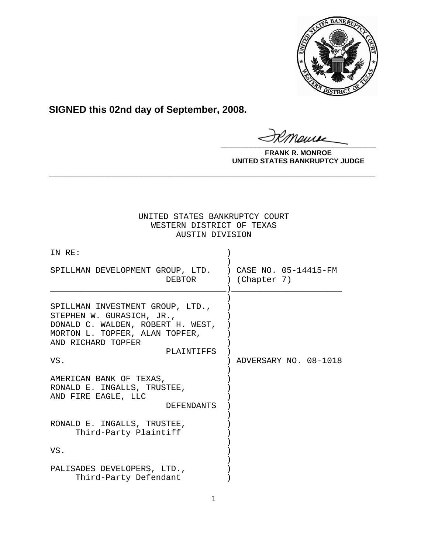

**SIGNED this 02nd day of September, 2008.**

Maure **\_\_\_\_\_\_\_\_\_\_\_\_\_\_\_\_\_\_\_\_\_\_\_\_\_\_\_\_\_\_\_\_\_\_\_\_\_\_\_\_**

**FRANK R. MONROE UNITED STATES BANKRUPTCY JUDGE**

# UNITED STATES BANKRUPTCY COURT WESTERN DISTRICT OF TEXAS AUSTIN DIVISION

**\_\_\_\_\_\_\_\_\_\_\_\_\_\_\_\_\_\_\_\_\_\_\_\_\_\_\_\_\_\_\_\_\_\_\_\_\_\_\_\_\_\_\_\_\_\_\_\_\_\_\_\_\_\_\_\_\_\_\_\_**

| IN RE:                                                                                                                                                                          |                       |
|---------------------------------------------------------------------------------------------------------------------------------------------------------------------------------|-----------------------|
| SPILLMAN DEVELOPMENT GROUP, LTD. ) CASE NO. 05-14415-FM<br>DEBTOR                                                                                                               | ) (Chapter 7)         |
| SPILLMAN INVESTMENT GROUP, LTD.,<br>STEPHEN W. GURASICH, JR.,<br>DONALD C. WALDEN, ROBERT H. WEST,<br>MORTON L. TOPFER, ALAN TOPFER,<br>AND RICHARD TOPFER<br>PLAINTIFFS<br>VS. | ADVERSARY NO. 08-1018 |
| AMERICAN BANK OF TEXAS,<br>RONALD E. INGALLS, TRUSTEE,<br>AND FIRE EAGLE, LLC<br><b>DEFENDANTS</b>                                                                              |                       |
| RONALD E. INGALLS, TRUSTEE,<br>Third-Party Plaintiff                                                                                                                            |                       |
| VS.                                                                                                                                                                             |                       |
| PALISADES DEVELOPERS, LTD.,<br>Third-Party Defendant                                                                                                                            |                       |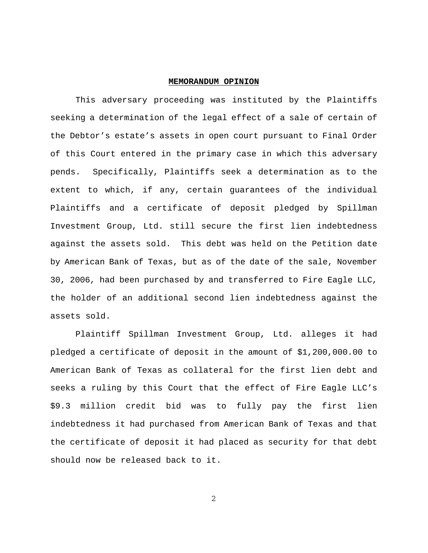#### **MEMORANDUM OPINION**

This adversary proceeding was instituted by the Plaintiffs seeking a determination of the legal effect of a sale of certain of the Debtor's estate's assets in open court pursuant to Final Order of this Court entered in the primary case in which this adversary pends. Specifically, Plaintiffs seek a determination as to the extent to which, if any, certain guarantees of the individual Plaintiffs and a certificate of deposit pledged by Spillman Investment Group, Ltd. still secure the first lien indebtedness against the assets sold. This debt was held on the Petition date by American Bank of Texas, but as of the date of the sale, November 30, 2006, had been purchased by and transferred to Fire Eagle LLC, the holder of an additional second lien indebtedness against the assets sold.

Plaintiff Spillman Investment Group, Ltd. alleges it had pledged a certificate of deposit in the amount of \$1,200,000.00 to American Bank of Texas as collateral for the first lien debt and seeks a ruling by this Court that the effect of Fire Eagle LLC's \$9.3 million credit bid was to fully pay the first lien indebtedness it had purchased from American Bank of Texas and that the certificate of deposit it had placed as security for that debt should now be released back to it.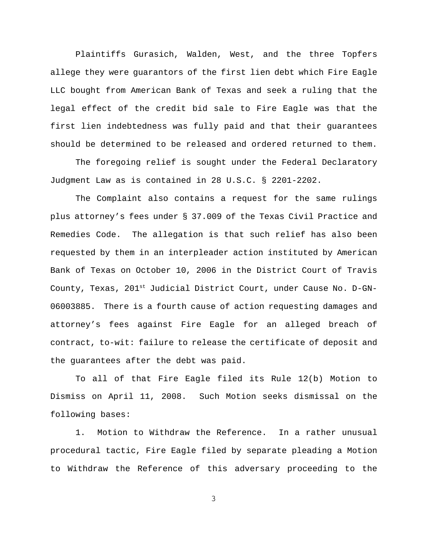Plaintiffs Gurasich, Walden, West, and the three Topfers allege they were guarantors of the first lien debt which Fire Eagle LLC bought from American Bank of Texas and seek a ruling that the legal effect of the credit bid sale to Fire Eagle was that the first lien indebtedness was fully paid and that their guarantees should be determined to be released and ordered returned to them.

The foregoing relief is sought under the Federal Declaratory Judgment Law as is contained in 28 U.S.C. § 2201-2202.

The Complaint also contains a request for the same rulings plus attorney's fees under § 37.009 of the Texas Civil Practice and Remedies Code. The allegation is that such relief has also been requested by them in an interpleader action instituted by American Bank of Texas on October 10, 2006 in the District Court of Travis County, Texas, 201<sup>st</sup> Judicial District Court, under Cause No. D-GN-06003885. There is a fourth cause of action requesting damages and attorney's fees against Fire Eagle for an alleged breach of contract, to-wit: failure to release the certificate of deposit and the guarantees after the debt was paid.

To all of that Fire Eagle filed its Rule 12(b) Motion to Dismiss on April 11, 2008. Such Motion seeks dismissal on the following bases:

1. Motion to Withdraw the Reference. In a rather unusual procedural tactic, Fire Eagle filed by separate pleading a Motion to Withdraw the Reference of this adversary proceeding to the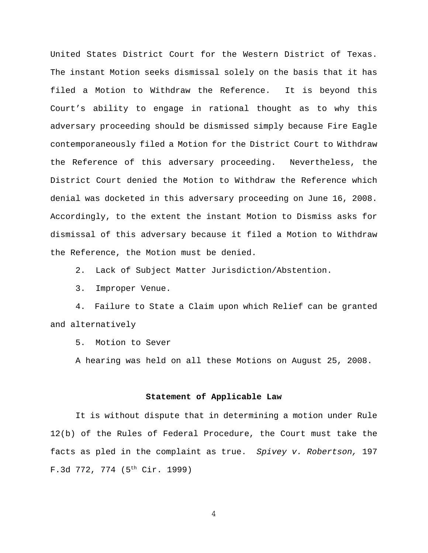United States District Court for the Western District of Texas. The instant Motion seeks dismissal solely on the basis that it has filed a Motion to Withdraw the Reference. It is beyond this Court's ability to engage in rational thought as to why this adversary proceeding should be dismissed simply because Fire Eagle contemporaneously filed a Motion for the District Court to Withdraw the Reference of this adversary proceeding. Nevertheless, the District Court denied the Motion to Withdraw the Reference which denial was docketed in this adversary proceeding on June 16, 2008. Accordingly, to the extent the instant Motion to Dismiss asks for dismissal of this adversary because it filed a Motion to Withdraw the Reference, the Motion must be denied.

2. Lack of Subject Matter Jurisdiction/Abstention.

3. Improper Venue.

4. Failure to State a Claim upon which Relief can be granted and alternatively

5. Motion to Sever

A hearing was held on all these Motions on August 25, 2008.

### **Statement of Applicable Law**

It is without dispute that in determining a motion under Rule 12(b) of the Rules of Federal Procedure, the Court must take the facts as pled in the complaint as true. *Spivey v. Robertson,* 197 F.3d 772, 774 (5<sup>th</sup> Cir. 1999)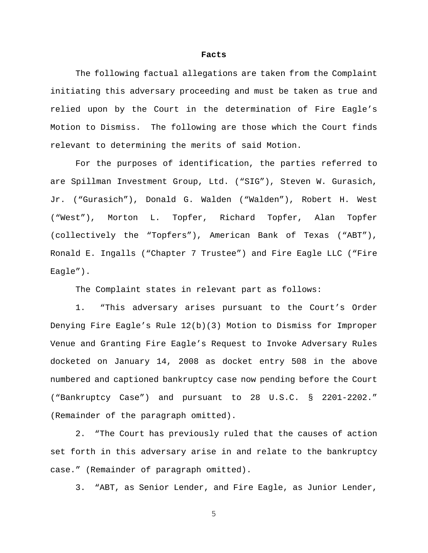#### **Facts**

The following factual allegations are taken from the Complaint initiating this adversary proceeding and must be taken as true and relied upon by the Court in the determination of Fire Eagle's Motion to Dismiss. The following are those which the Court finds relevant to determining the merits of said Motion.

For the purposes of identification, the parties referred to are Spillman Investment Group, Ltd. ("SIG"), Steven W. Gurasich, Jr. ("Gurasich"), Donald G. Walden ("Walden"), Robert H. West ("West"), Morton L. Topfer, Richard Topfer, Alan Topfer (collectively the "Topfers"), American Bank of Texas ("ABT"), Ronald E. Ingalls ("Chapter 7 Trustee") and Fire Eagle LLC ("Fire Eagle").

The Complaint states in relevant part as follows:

1. "This adversary arises pursuant to the Court's Order Denying Fire Eagle's Rule 12(b)(3) Motion to Dismiss for Improper Venue and Granting Fire Eagle's Request to Invoke Adversary Rules docketed on January 14, 2008 as docket entry 508 in the above numbered and captioned bankruptcy case now pending before the Court ("Bankruptcy Case") and pursuant to 28 U.S.C. § 2201-2202." (Remainder of the paragraph omitted).

2. "The Court has previously ruled that the causes of action set forth in this adversary arise in and relate to the bankruptcy case." (Remainder of paragraph omitted).

3. "ABT, as Senior Lender, and Fire Eagle, as Junior Lender,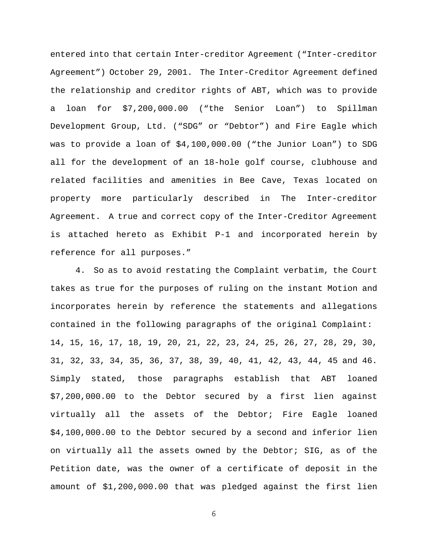entered into that certain Inter-creditor Agreement ("Inter-creditor Agreement") October 29, 2001. The Inter-Creditor Agreement defined the relationship and creditor rights of ABT, which was to provide a loan for \$7,200,000.00 ("the Senior Loan") to Spillman Development Group, Ltd. ("SDG" or "Debtor") and Fire Eagle which was to provide a loan of \$4,100,000.00 ("the Junior Loan") to SDG all for the development of an 18-hole golf course, clubhouse and related facilities and amenities in Bee Cave, Texas located on property more particularly described in The Inter-creditor Agreement. A true and correct copy of the Inter-Creditor Agreement is attached hereto as Exhibit P-1 and incorporated herein by reference for all purposes."

4. So as to avoid restating the Complaint verbatim, the Court takes as true for the purposes of ruling on the instant Motion and incorporates herein by reference the statements and allegations contained in the following paragraphs of the original Complaint: 14, 15, 16, 17, 18, 19, 20, 21, 22, 23, 24, 25, 26, 27, 28, 29, 30, 31, 32, 33, 34, 35, 36, 37, 38, 39, 40, 41, 42, 43, 44, 45 and 46. Simply stated, those paragraphs establish that ABT loaned \$7,200,000.00 to the Debtor secured by a first lien against virtually all the assets of the Debtor; Fire Eagle loaned \$4,100,000.00 to the Debtor secured by a second and inferior lien on virtually all the assets owned by the Debtor; SIG, as of the Petition date, was the owner of a certificate of deposit in the amount of \$1,200,000.00 that was pledged against the first lien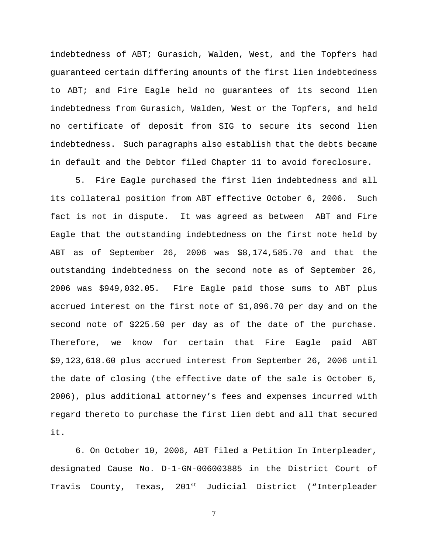indebtedness of ABT; Gurasich, Walden, West, and the Topfers had guaranteed certain differing amounts of the first lien indebtedness to ABT; and Fire Eagle held no guarantees of its second lien indebtedness from Gurasich, Walden, West or the Topfers, and held no certificate of deposit from SIG to secure its second lien indebtedness. Such paragraphs also establish that the debts became in default and the Debtor filed Chapter 11 to avoid foreclosure.

5. Fire Eagle purchased the first lien indebtedness and all its collateral position from ABT effective October 6, 2006. Such fact is not in dispute. It was agreed as between ABT and Fire Eagle that the outstanding indebtedness on the first note held by ABT as of September 26, 2006 was \$8,174,585.70 and that the outstanding indebtedness on the second note as of September 26, 2006 was \$949,032.05. Fire Eagle paid those sums to ABT plus accrued interest on the first note of \$1,896.70 per day and on the second note of \$225.50 per day as of the date of the purchase. Therefore, we know for certain that Fire Eagle paid ABT \$9,123,618.60 plus accrued interest from September 26, 2006 until the date of closing (the effective date of the sale is October 6, 2006), plus additional attorney's fees and expenses incurred with regard thereto to purchase the first lien debt and all that secured it.

6. On October 10, 2006, ABT filed a Petition In Interpleader, designated Cause No. D-1-GN-006003885 in the District Court of Travis County, Texas, 201<sup>st</sup> Judicial District ("Interpleader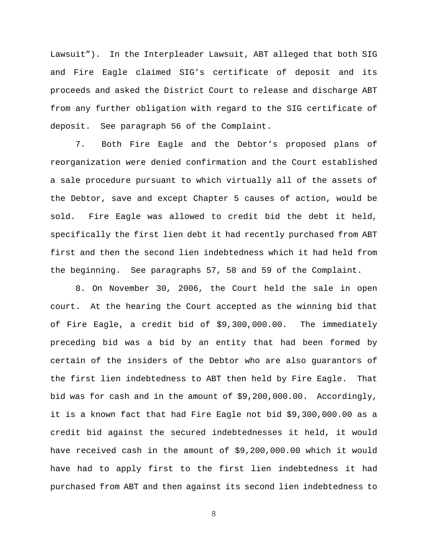Lawsuit"). In the Interpleader Lawsuit, ABT alleged that both SIG and Fire Eagle claimed SIG's certificate of deposit and its proceeds and asked the District Court to release and discharge ABT from any further obligation with regard to the SIG certificate of deposit. See paragraph 56 of the Complaint.

7. Both Fire Eagle and the Debtor's proposed plans of reorganization were denied confirmation and the Court established a sale procedure pursuant to which virtually all of the assets of the Debtor, save and except Chapter 5 causes of action, would be sold. Fire Eagle was allowed to credit bid the debt it held, specifically the first lien debt it had recently purchased from ABT first and then the second lien indebtedness which it had held from the beginning. See paragraphs 57, 58 and 59 of the Complaint.

8. On November 30, 2006, the Court held the sale in open court. At the hearing the Court accepted as the winning bid that of Fire Eagle, a credit bid of \$9,300,000.00. The immediately preceding bid was a bid by an entity that had been formed by certain of the insiders of the Debtor who are also guarantors of the first lien indebtedness to ABT then held by Fire Eagle. That bid was for cash and in the amount of \$9,200,000.00. Accordingly, it is a known fact that had Fire Eagle not bid \$9,300,000.00 as a credit bid against the secured indebtednesses it held, it would have received cash in the amount of \$9,200,000.00 which it would have had to apply first to the first lien indebtedness it had purchased from ABT and then against its second lien indebtedness to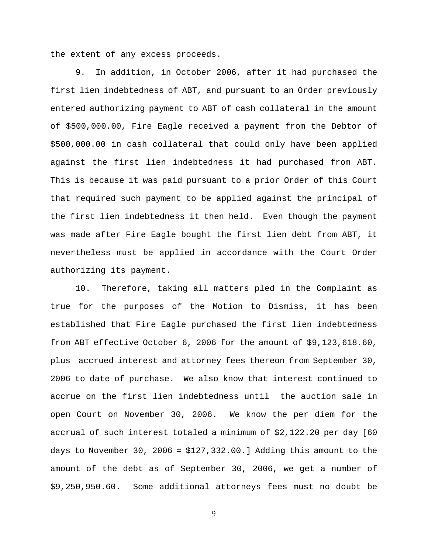the extent of any excess proceeds.

9. In addition, in October 2006, after it had purchased the first lien indebtedness of ABT, and pursuant to an Order previously entered authorizing payment to ABT of cash collateral in the amount of \$500,000.00, Fire Eagle received a payment from the Debtor of \$500,000.00 in cash collateral that could only have been applied against the first lien indebtedness it had purchased from ABT. This is because it was paid pursuant to a prior Order of this Court that required such payment to be applied against the principal of the first lien indebtedness it then held. Even though the payment was made after Fire Eagle bought the first lien debt from ABT, it nevertheless must be applied in accordance with the Court Order authorizing its payment.

10. Therefore, taking all matters pled in the Complaint as true for the purposes of the Motion to Dismiss, it has been established that Fire Eagle purchased the first lien indebtedness from ABT effective October 6, 2006 for the amount of \$9,123,618.60, plus accrued interest and attorney fees thereon from September 30, 2006 to date of purchase. We also know that interest continued to accrue on the first lien indebtedness until the auction sale in open Court on November 30, 2006. We know the per diem for the accrual of such interest totaled a minimum of \$2,122.20 per day [60 days to November 30, 2006 =  $$127,332.00.]$  Adding this amount to the amount of the debt as of September 30, 2006, we get a number of \$9,250,950.60. Some additional attorneys fees must no doubt be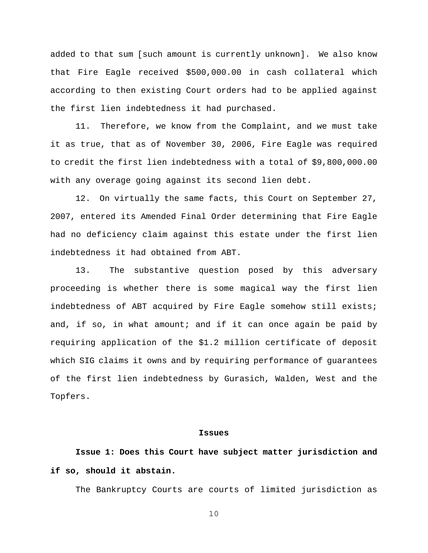added to that sum [such amount is currently unknown]. We also know that Fire Eagle received \$500,000.00 in cash collateral which according to then existing Court orders had to be applied against the first lien indebtedness it had purchased.

11. Therefore, we know from the Complaint, and we must take it as true, that as of November 30, 2006, Fire Eagle was required to credit the first lien indebtedness with a total of \$9,800,000.00 with any overage going against its second lien debt.

12. On virtually the same facts, this Court on September 27, 2007, entered its Amended Final Order determining that Fire Eagle had no deficiency claim against this estate under the first lien indebtedness it had obtained from ABT.

13. The substantive question posed by this adversary proceeding is whether there is some magical way the first lien indebtedness of ABT acquired by Fire Eagle somehow still exists; and, if so, in what amount; and if it can once again be paid by requiring application of the \$1.2 million certificate of deposit which SIG claims it owns and by requiring performance of guarantees of the first lien indebtedness by Gurasich, Walden, West and the Topfers.

## **Issues**

**Issue 1: Does this Court have subject matter jurisdiction and if so, should it abstain.**

The Bankruptcy Courts are courts of limited jurisdiction as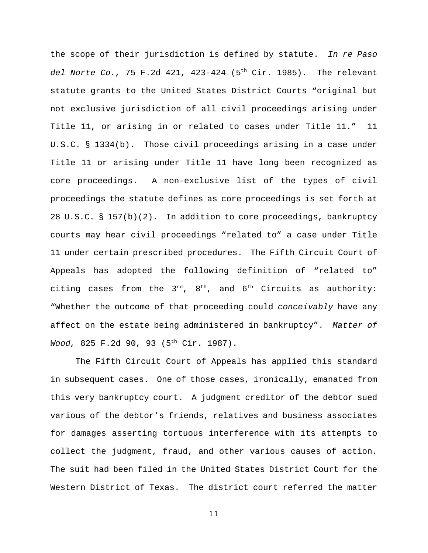the scope of their jurisdiction is defined by statute. *In re Paso del Norte Co.,* 75 F.2d 421, 423-424 (5th Cir. 1985). The relevant statute grants to the United States District Courts "original but not exclusive jurisdiction of all civil proceedings arising under Title 11, or arising in or related to cases under Title 11." 11 U.S.C. § 1334(b). Those civil proceedings arising in a case under Title 11 or arising under Title 11 have long been recognized as core proceedings. A non-exclusive list of the types of civil proceedings the statute defines as core proceedings is set forth at 28 U.S.C. § 157(b)(2). In addition to core proceedings, bankruptcy courts may hear civil proceedings "related to" a case under Title 11 under certain prescribed procedures. The Fifth Circuit Court of Appeals has adopted the following definition of "related to" citing cases from the  $3^{rd}$ ,  $8^{th}$ , and  $6^{th}$  Circuits as authority: "Whether the outcome of that proceeding could *conceivably* have any affect on the estate being administered in bankruptcy". *Matter of Wood,* 825 F.2d 90, 93 (5th Cir. 1987).

The Fifth Circuit Court of Appeals has applied this standard in subsequent cases. One of those cases, ironically, emanated from this very bankruptcy court. A judgment creditor of the debtor sued various of the debtor's friends, relatives and business associates for damages asserting tortuous interference with its attempts to collect the judgment, fraud, and other various causes of action. The suit had been filed in the United States District Court for the Western District of Texas. The district court referred the matter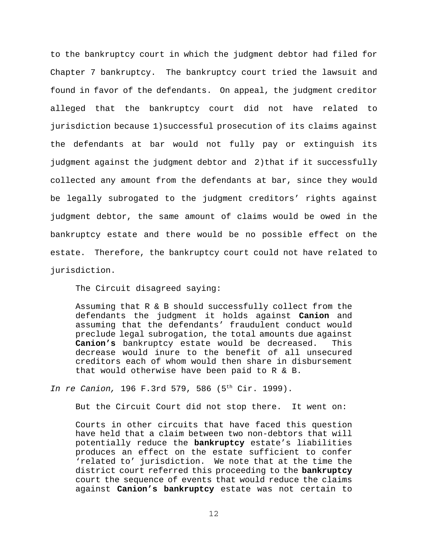to the bankruptcy court in which the judgment debtor had filed for Chapter 7 bankruptcy. The bankruptcy court tried the lawsuit and found in favor of the defendants. On appeal, the judgment creditor alleged that the bankruptcy court did not have related to jurisdiction because 1)successful prosecution of its claims against the defendants at bar would not fully pay or extinguish its judgment against the judgment debtor and 2)that if it successfully collected any amount from the defendants at bar, since they would be legally subrogated to the judgment creditors' rights against judgment debtor, the same amount of claims would be owed in the bankruptcy estate and there would be no possible effect on the estate. Therefore, the bankruptcy court could not have related to jurisdiction.

The Circuit disagreed saying:

Assuming that R & B should successfully collect from the defendants the judgment it holds against **Canion** and assuming that the defendants' fraudulent conduct would preclude legal subrogation, the total amounts due against **Canion's** bankruptcy estate would be decreased. This decrease would inure to the benefit of all unsecured creditors each of whom would then share in disbursement that would otherwise have been paid to R & B.

*In re Canion,* 196 F.3rd 579, 586 (5th Cir. 1999).

But the Circuit Court did not stop there. It went on:

Courts in other circuits that have faced this question have held that a claim between two non-debtors that will potentially reduce the **bankruptcy** estate's liabilities produces an effect on the estate sufficient to confer 'related to' jurisdiction. We note that at the time the district court referred this proceeding to the **bankruptcy** court the sequence of events that would reduce the claims against **Canion's bankruptcy** estate was not certain to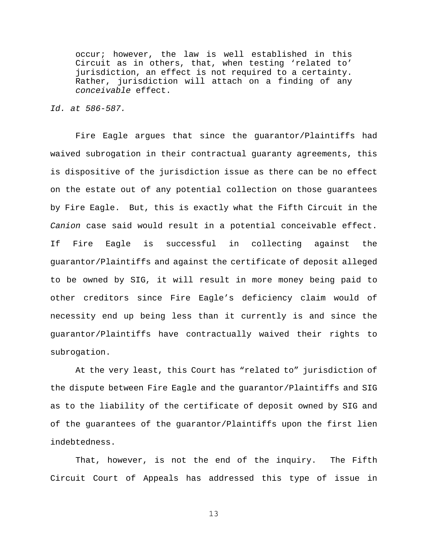occur; however, the law is well established in this Circuit as in others, that, when testing 'related to' jurisdiction, an effect is not required to a certainty. Rather, jurisdiction will attach on a finding of any *conceivable* effect.

### *Id. at 586-587.*

Fire Eagle argues that since the guarantor/Plaintiffs had waived subrogation in their contractual guaranty agreements, this is dispositive of the jurisdiction issue as there can be no effect on the estate out of any potential collection on those guarantees by Fire Eagle. But, this is exactly what the Fifth Circuit in the *Canion* case said would result in a potential conceivable effect. If Fire Eagle is successful in collecting against the guarantor/Plaintiffs and against the certificate of deposit alleged to be owned by SIG, it will result in more money being paid to other creditors since Fire Eagle's deficiency claim would of necessity end up being less than it currently is and since the guarantor/Plaintiffs have contractually waived their rights to subrogation.

At the very least, this Court has "related to" jurisdiction of the dispute between Fire Eagle and the guarantor/Plaintiffs and SIG as to the liability of the certificate of deposit owned by SIG and of the guarantees of the guarantor/Plaintiffs upon the first lien indebtedness.

That, however, is not the end of the inquiry. The Fifth Circuit Court of Appeals has addressed this type of issue in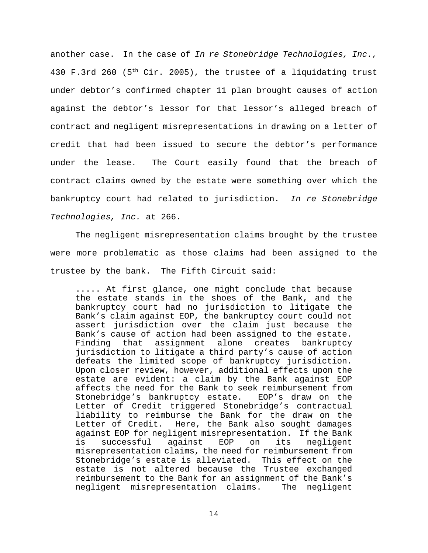another case. In the case of *In re Stonebridge Technologies, Inc.,* 430 F.3rd 260 ( $5<sup>th</sup> Cir. 2005$ ), the trustee of a liquidating trust under debtor's confirmed chapter 11 plan brought causes of action against the debtor's lessor for that lessor's alleged breach of contract and negligent misrepresentations in drawing on a letter of credit that had been issued to secure the debtor's performance under the lease. The Court easily found that the breach of contract claims owned by the estate were something over which the bankruptcy court had related to jurisdiction. *In re Stonebridge Technologies, Inc.* at 266.

The negligent misrepresentation claims brought by the trustee were more problematic as those claims had been assigned to the trustee by the bank. The Fifth Circuit said:

..... At first glance, one might conclude that because the estate stands in the shoes of the Bank, and the bankruptcy court had no jurisdiction to litigate the Bank's claim against EOP, the bankruptcy court could not assert jurisdiction over the claim just because the Bank's cause of action had been assigned to the estate. Finding that assignment alone creates bankruptcy jurisdiction to litigate a third party's cause of action defeats the limited scope of bankruptcy jurisdiction. Upon closer review, however, additional effects upon the estate are evident: a claim by the Bank against EOP affects the need for the Bank to seek reimbursement from Stonebridge's bankruptcy estate. EOP's draw on the Letter of Credit triggered Stonebridge's contractual liability to reimburse the Bank for the draw on the Letter of Credit. Here, the Bank also sought damages against EOP for negligent misrepresentation. If the Bank is successful against EOP on its negligent misrepresentation claims, the need for reimbursement from Stonebridge's estate is alleviated. This effect on the estate is not altered because the Trustee exchanged reimbursement to the Bank for an assignment of the Bank's negligent misrepresentation claims. The negligent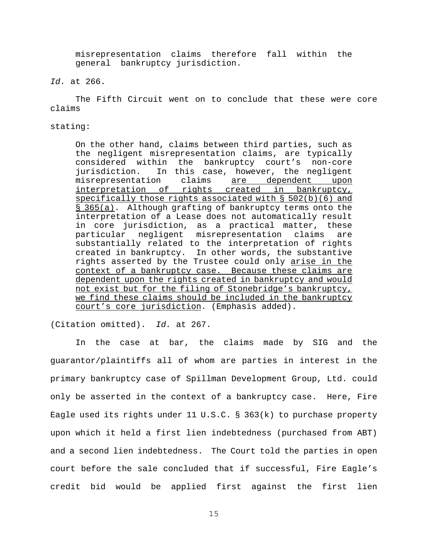misrepresentation claims therefore fall within the general bankruptcy jurisdiction.

# *Id.* at 266.

The Fifth Circuit went on to conclude that these were core claims

stating:

On the other hand, claims between third parties, such as the negligent misrepresentation claims, are typically considered within the bankruptcy court's non-core jurisdiction. In this case, however, the negligent misrepresentation claims <u>are dependent upon</u> interpretation of rights created in bankruptcy, specifically those rights associated with § 502(b)(6) and § 365(a). Although grafting of bankruptcy terms onto the interpretation of a Lease does not automatically result in core jurisdiction, as a practical matter, these particular negligent misrepresentation claims are substantially related to the interpretation of rights created in bankruptcy. In other words, the substantive rights asserted by the Trustee could only arise in the context of a bankruptcy case. Because these claims are dependent upon the rights created in bankruptcy and would not exist but for the filing of Stonebridge's bankruptcy, we find these claims should be included in the bankruptcy court's core jurisdiction. (Emphasis added).

(Citation omitted). *Id.* at 267.

In the case at bar, the claims made by SIG and the guarantor/plaintiffs all of whom are parties in interest in the primary bankruptcy case of Spillman Development Group, Ltd. could only be asserted in the context of a bankruptcy case. Here, Fire Eagle used its rights under 11 U.S.C. § 363(k) to purchase property upon which it held a first lien indebtedness (purchased from ABT) and a second lien indebtedness. The Court told the parties in open court before the sale concluded that if successful, Fire Eagle's credit bid would be applied first against the first lien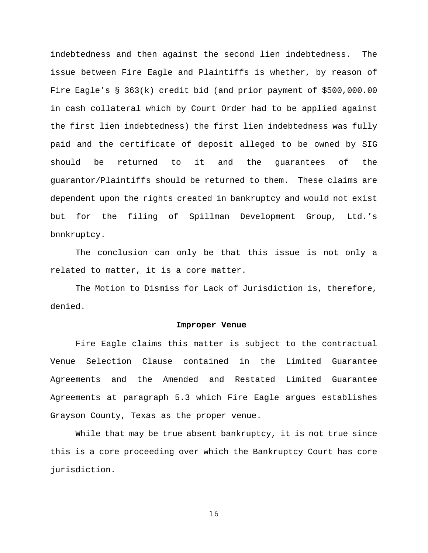indebtedness and then against the second lien indebtedness. The issue between Fire Eagle and Plaintiffs is whether, by reason of Fire Eagle's § 363(k) credit bid (and prior payment of \$500,000.00 in cash collateral which by Court Order had to be applied against the first lien indebtedness) the first lien indebtedness was fully paid and the certificate of deposit alleged to be owned by SIG should be returned to it and the guarantees of the guarantor/Plaintiffs should be returned to them. These claims are dependent upon the rights created in bankruptcy and would not exist but for the filing of Spillman Development Group, Ltd.'s bnnkruptcy.

The conclusion can only be that this issue is not only a related to matter, it is a core matter.

The Motion to Dismiss for Lack of Jurisdiction is, therefore, denied.

#### **Improper Venue**

Fire Eagle claims this matter is subject to the contractual Venue Selection Clause contained in the Limited Guarantee Agreements and the Amended and Restated Limited Guarantee Agreements at paragraph 5.3 which Fire Eagle argues establishes Grayson County, Texas as the proper venue.

While that may be true absent bankruptcy, it is not true since this is a core proceeding over which the Bankruptcy Court has core jurisdiction.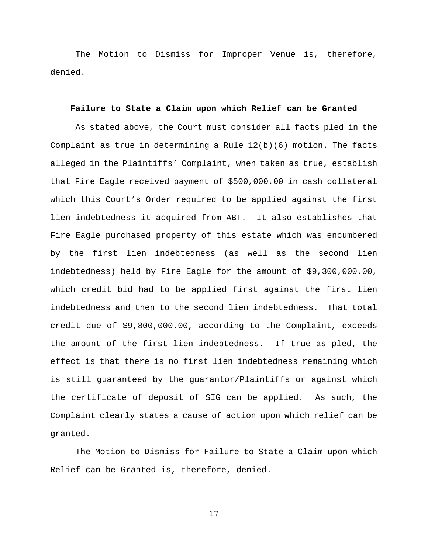The Motion to Dismiss for Improper Venue is, therefore, denied.

#### **Failure to State a Claim upon which Relief can be Granted**

As stated above, the Court must consider all facts pled in the Complaint as true in determining a Rule  $12(b)(6)$  motion. The facts alleged in the Plaintiffs' Complaint, when taken as true, establish that Fire Eagle received payment of \$500,000.00 in cash collateral which this Court's Order required to be applied against the first lien indebtedness it acquired from ABT. It also establishes that Fire Eagle purchased property of this estate which was encumbered by the first lien indebtedness (as well as the second lien indebtedness) held by Fire Eagle for the amount of \$9,300,000.00, which credit bid had to be applied first against the first lien indebtedness and then to the second lien indebtedness. That total credit due of \$9,800,000.00, according to the Complaint, exceeds the amount of the first lien indebtedness. If true as pled, the effect is that there is no first lien indebtedness remaining which is still guaranteed by the guarantor/Plaintiffs or against which the certificate of deposit of SIG can be applied. As such, the Complaint clearly states a cause of action upon which relief can be granted.

The Motion to Dismiss for Failure to State a Claim upon which Relief can be Granted is, therefore, denied.